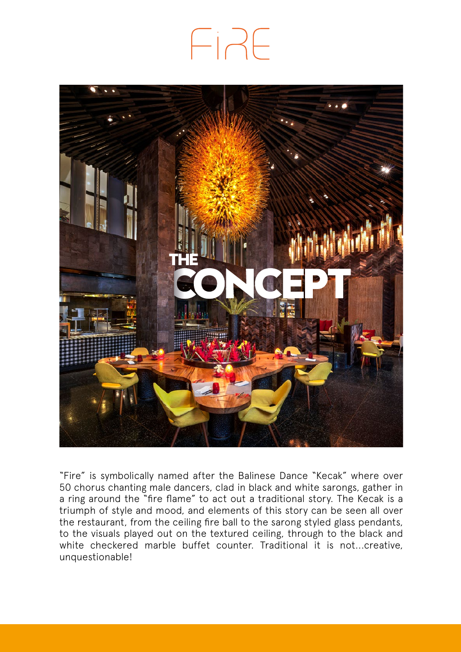# FIRE



"Fire" is symbolically named after the Balinese Dance "Kecak" where over 50 chorus chanting male dancers, clad in black and white sarongs, gather in a ring around the "fire flame" to act out a traditional story. The Kecak is a triumph of style and mood, and elements of this story can be seen all over the restaurant, from the ceiling fire ball to the sarong styled glass pendants, to the visuals played out on the textured ceiling, through to the black and white checkered marble buffet counter. Traditional it is not...creative, unquestionable!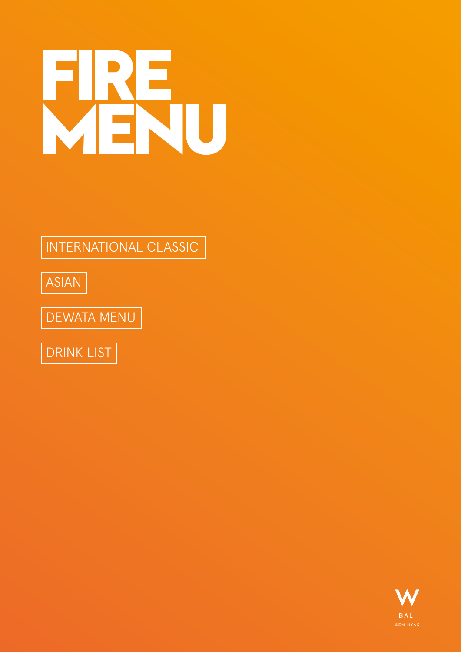# **FIRE MENU**

[INTERNATIONAL CLASSIC](#page-2-0)

[ASIAN](#page-6-0)

[DEWATA MENU](#page-8-0)



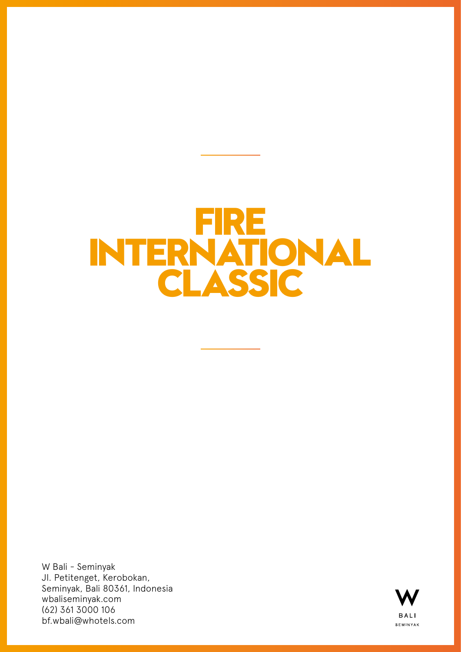## <span id="page-2-0"></span>**FIRE INTERNATIONAL CLASSIC**

W Bali - Seminyak Jl. Petitenget, Kerobokan, Seminyak, Bali 80361, Indonesia wbaliseminyak.com (62) 361 3000 106 bf.wbali@whotels.com

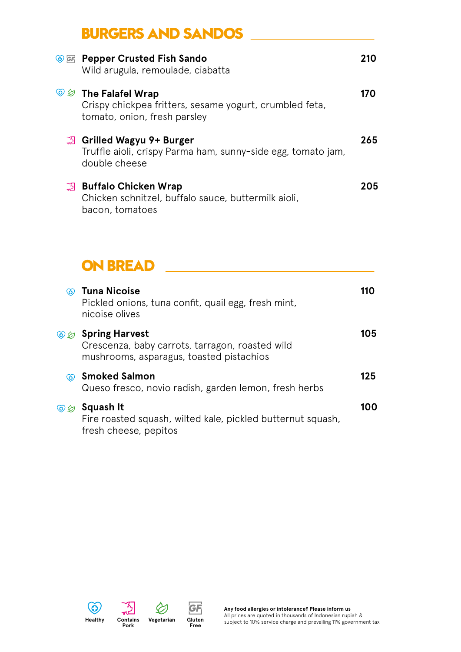## **BURGERS AND SANDOS**

| SE Pepper Crusted Fish Sando<br>Wild arugula, remoulade, ciabatta                                                           | 210 |
|-----------------------------------------------------------------------------------------------------------------------------|-----|
| <b>SECUTION The Falafel Wrap</b><br>Crispy chickpea fritters, sesame yogurt, crumbled feta,<br>tomato, onion, fresh parsley | 170 |
| ్న Grilled Wagyu 9+ Burger<br>Truffle aioli, crispy Parma ham, sunny-side egg, tomato jam,<br>double cheese                 | 265 |
| <b>3</b> Buffalo Chicken Wrap<br>Chicken schnitzel, buffalo sauce, buttermilk aioli,<br>bacon, tomatoes                     | 205 |

#### **ON BREAD**

| (ŏ)                        | Tuna Nicoise<br>Pickled onions, tuna confit, quail egg, fresh mint,<br>nicoise olives                                | 11O |
|----------------------------|----------------------------------------------------------------------------------------------------------------------|-----|
| $\circledcirc \varnothing$ | <b>Spring Harvest</b><br>Crescenza, baby carrots, tarragon, roasted wild<br>mushrooms, asparagus, toasted pistachios | 105 |
| $\circledcirc$             | <b>Smoked Salmon</b><br>Queso fresco, novio radish, garden lemon, fresh herbs                                        | 125 |
| $\circledcirc$             | Squash It<br>Fire roasted squash, wilted kale, pickled butternut squash,<br>fresh cheese, pepitos                    | 100 |

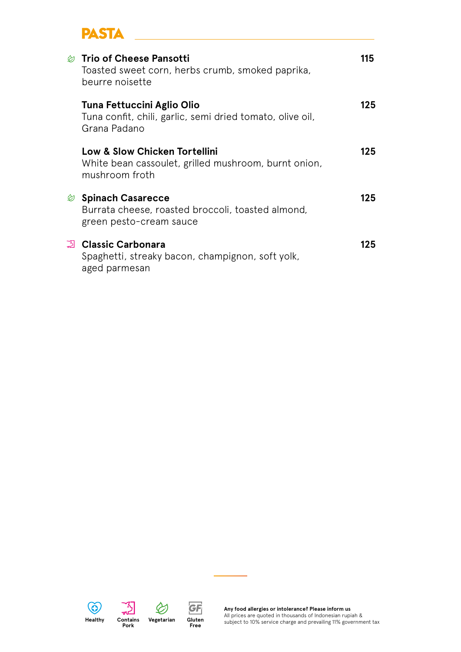## **PASTA**

| $\otimes$ Trio of Cheese Pansotti<br>Toasted sweet corn, herbs crumb, smoked paprika,<br>beurre noisette           | 115 |
|--------------------------------------------------------------------------------------------------------------------|-----|
| Tuna Fettuccini Aglio Olio<br>Tuna confit, chili, garlic, semi dried tomato, olive oil,<br>Grana Padano            | 125 |
| <b>Low &amp; Slow Chicken Tortellini</b><br>White bean cassoulet, grilled mushroom, burnt onion,<br>mushroom froth | 125 |
| Spinach Casarecce<br>Burrata cheese, roasted broccoli, toasted almond,<br>green pesto-cream sauce                  | 125 |
| ුමු Classic Carbonara<br>Spaghetti, streaky bacon, champignon, soft yolk,<br>aged parmesan                         | 125 |



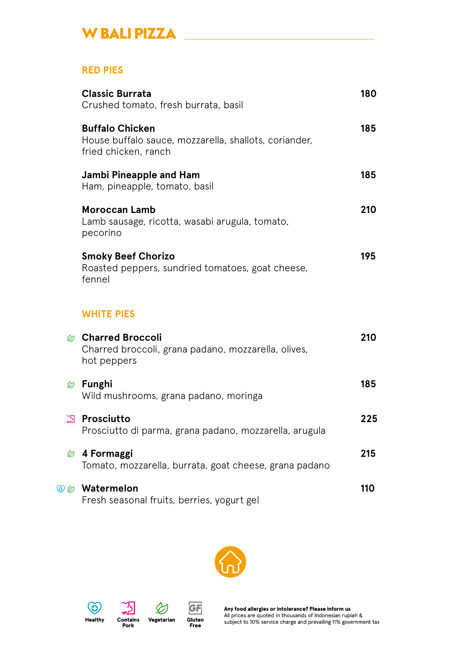## **W BALI PIZZA**

#### **RED PIES**

|       | <b>Classic Burrata</b><br>Crushed tomato, fresh burrata, basil                                                 | 180 |
|-------|----------------------------------------------------------------------------------------------------------------|-----|
|       | <b>Buffalo Chicken</b><br>House buffalo sauce, mozzarella, shallots, coriander,<br>fried chicken, ranch        | 185 |
|       | <b>Jambi Pineapple and Ham</b><br>Ham, pineapple, tomato, basil                                                | 185 |
|       | <b>Moroccan Lamb</b><br>Lamb sausage, ricotta, wasabi arugula, tomato,<br>pecorino                             | 210 |
|       | <b>Smoky Beef Chorizo</b><br>Roasted peppers, sundried tomatoes, goat cheese,<br>fennel                        | 195 |
|       | <b>WHITE PIES</b>                                                                                              |     |
|       | <b><i><b> © Charred Broccoli</b></i></b><br>Charred broccoli, grana padano, mozzarella, olives,<br>hot peppers | 210 |
|       | $\otimes$ Funghi<br>Wild mushrooms, grana padano, moringa                                                      | 185 |
| ု့သျှ | <b>Prosciutto</b><br>Prosciutto di parma, grana padano, mozzarella, arugula                                    | 225 |
| ల     | 4 Formaggi<br>Tomato, mozzarella, burrata, goat cheese, grana padano                                           | 215 |
|       | <b>SØ Watermelon</b><br>Fresh seasonal fruits, berries, yogurt gel                                             | 110 |







**Contains**<br>**Pork** 

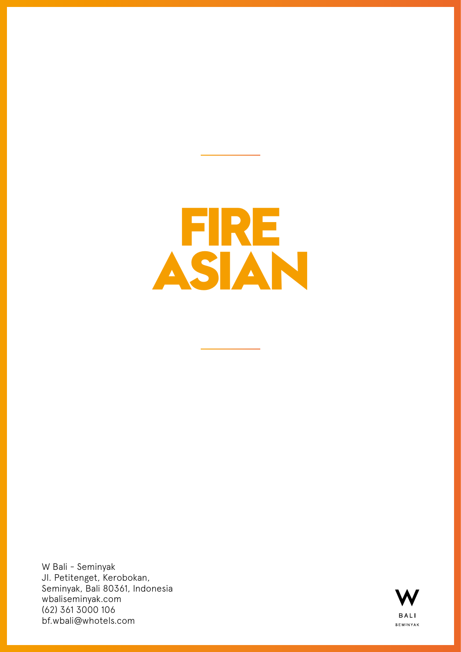<span id="page-6-0"></span>

W Bali - Seminyak Jl. Petitenget, Kerobokan, Seminyak, Bali 80361, Indonesia wbaliseminyak.com (62) 361 3000 106 bf.wbali@whotels.com

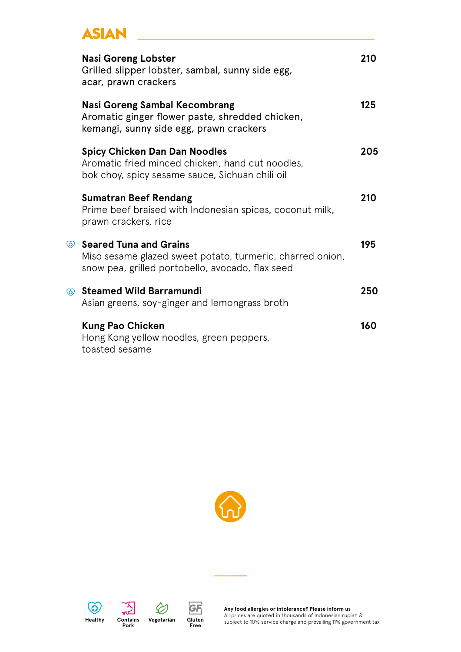## **ASIAN**

| <b>Nasi Goreng Lobster</b><br>Grilled slipper lobster, sambal, sunny side egg,<br>acar, prawn crackers                                      | 210 |
|---------------------------------------------------------------------------------------------------------------------------------------------|-----|
| <b>Nasi Goreng Sambal Kecombrang</b><br>Aromatic ginger flower paste, shredded chicken,<br>kemangi, sunny side egg, prawn crackers          | 125 |
| <b>Spicy Chicken Dan Dan Noodles</b><br>Aromatic fried minced chicken, hand cut noodles,<br>bok choy, spicy sesame sauce, Sichuan chili oil | 205 |
| <b>Sumatran Beef Rendang</b><br>Prime beef braised with Indonesian spices, coconut milk,<br>prawn crackers, rice                            | 210 |
| Seared Tuna and Grains<br>Miso sesame glazed sweet potato, turmeric, charred onion,<br>snow pea, grilled portobello, avocado, flax seed     | 195 |
| Steamed Wild Barramundi<br>Asian greens, soy-ginger and lemongrass broth                                                                    | 250 |
| <b>Kung Pao Chicken</b><br>Hong Kong yellow noodles, green peppers,<br>toasted sesame                                                       | 160 |





w



**Gluten Free**

GF

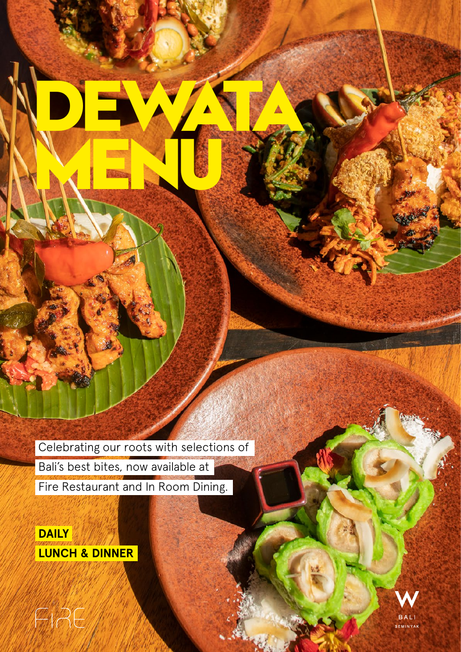Celebrating our roots with selections of Bali's best bites, now available at Fire Restaurant and In Room Dining.

<span id="page-8-0"></span>**DEWATA**

**MENU**

**DAILY LUNCH & DINNER**

ENRE

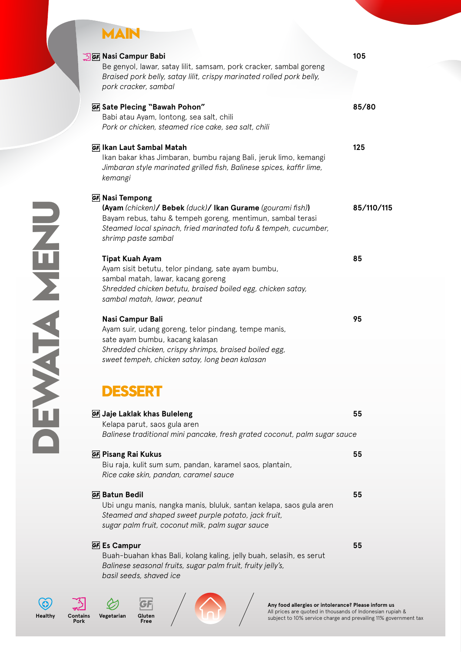## **MAIN**

|                     | <b>SE Nasi Campur Babi</b>                                                                                               | 105        |
|---------------------|--------------------------------------------------------------------------------------------------------------------------|------------|
|                     | Be genyol, lawar, satay lilit, samsam, pork cracker, sambal goreng                                                       |            |
|                     | Braised pork belly, satay lilit, crispy marinated rolled pork belly,                                                     |            |
|                     | pork cracker, sambal                                                                                                     |            |
|                     | GF Sate Plecing "Bawah Pohon"                                                                                            | 85/80      |
|                     | Babi atau Ayam, lontong, sea salt, chili                                                                                 |            |
|                     | Pork or chicken, steamed rice cake, sea salt, chili                                                                      |            |
|                     |                                                                                                                          |            |
|                     | GF Ikan Laut Sambal Matah<br>Ikan bakar khas Jimbaran, bumbu rajang Bali, jeruk limo, kemangi                            | 125        |
|                     | Jimbaran style marinated grilled fish, Balinese spices, kaffir lime,                                                     |            |
|                     | kemangi                                                                                                                  |            |
|                     |                                                                                                                          |            |
|                     | <b>GF</b> Nasi Tempong                                                                                                   |            |
|                     | (Ayam (chicken)/ Bebek (duck)/ Ikan Gurame (gourami fish))<br>Bayam rebus, tahu & tempeh goreng, mentimun, sambal terasi | 85/110/115 |
|                     | Steamed local spinach, fried marinated tofu & tempeh, cucumber,                                                          |            |
| Z                   | shrimp paste sambal                                                                                                      |            |
|                     |                                                                                                                          |            |
| $\frac{1}{2}$       | <b>Tipat Kuah Ayam</b>                                                                                                   | 85         |
|                     | Ayam sisit betutu, telor pindang, sate ayam bumbu,                                                                       |            |
|                     | sambal matah, lawar, kacang goreng                                                                                       |            |
|                     | Shredded chicken betutu, braised boiled egg, chicken satay,<br>sambal matah, lawar, peanut                               |            |
|                     |                                                                                                                          |            |
|                     | Nasi Campur Bali                                                                                                         | 95         |
|                     | Ayam suir, udang goreng, telor pindang, tempe manis,                                                                     |            |
|                     | sate ayam bumbu, kacang kalasan                                                                                          |            |
|                     | Shredded chicken, crispy shrimps, braised boiled egg,                                                                    |            |
|                     | sweet tempeh, chicken satay, long bean kalasan                                                                           |            |
|                     |                                                                                                                          |            |
|                     |                                                                                                                          |            |
|                     |                                                                                                                          |            |
|                     | GF Jaje Laklak khas Buleleng                                                                                             | 55         |
|                     | Kelapa parut, saos gula aren                                                                                             |            |
|                     | Balinese traditional mini pancake, fresh grated coconut, palm sugar sauce                                                |            |
|                     | <b>GF</b> Pisang Rai Kukus                                                                                               | 55         |
|                     | Biu raja, kulit sum sum, pandan, karamel saos, plantain,                                                                 |            |
|                     | Rice cake skin, pandan, caramel sauce                                                                                    |            |
|                     | <b>GF</b> Batun Bedil                                                                                                    | 55         |
|                     | Ubi ungu manis, nangka manis, bluluk, santan kelapa, saos gula aren                                                      |            |
|                     | Steamed and shaped sweet purple potato, jack fruit,                                                                      |            |
|                     | sugar palm fruit, coconut milk, palm sugar sauce                                                                         |            |
|                     |                                                                                                                          |            |
|                     | <b>GF Es Campur</b>                                                                                                      | 55         |
|                     | Buah-buahan khas Bali, kolang kaling, jelly buah, selasih, es serut                                                      |            |
|                     | Balinese seasonal fruits, sugar palm fruit, fruity jelly's,<br>basil seeds, shaved ice                                   |            |
|                     |                                                                                                                          |            |
|                     |                                                                                                                          |            |
|                     | Any food allergies or intolerance? Please inform us<br>All prices are quoted in thousands of Indonesian rupi             |            |
| Contains<br>Healthy | Vegetarian<br>Gluter<br>subject to 10% service charge and prevailing 11% gove                                            |            |

**Pork** 

**Gluten Free**

**Any food allergies or intolerance? Please inform us** All prices are quoted in thousands of Indonesian rupiah & subject to 10% service charge and prevailing 11% government tax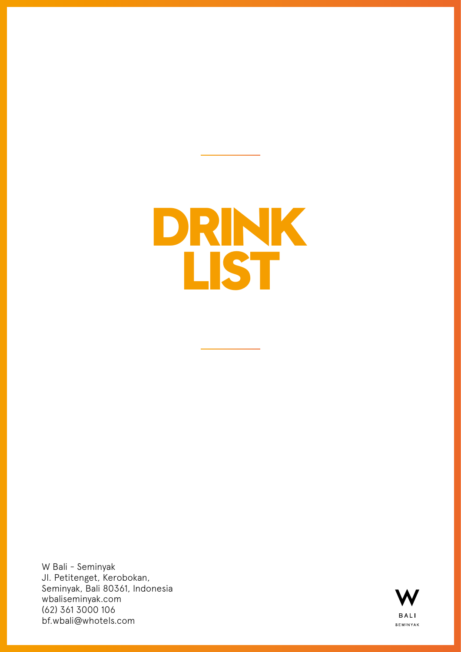# <span id="page-10-0"></span>**DRINK LIST**

W Bali - Seminyak Jl. Petitenget, Kerobokan, Seminyak, Bali 80361, Indonesia wbaliseminyak.com (62) 361 3000 106 bf.wbali@whotels.com

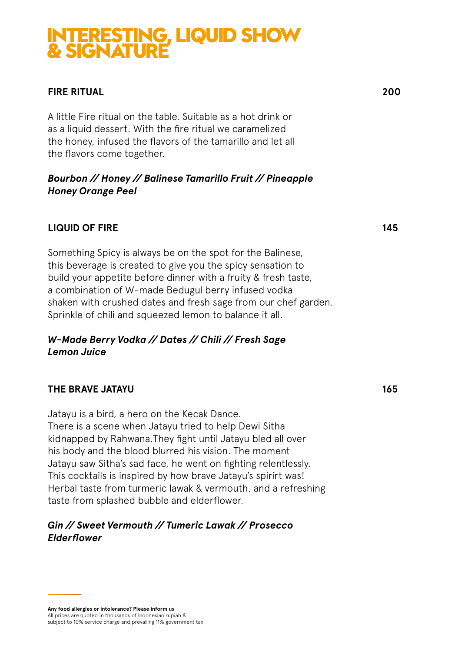## **INTERESTING, LIQUID SHOW & SIGNATURE**

#### **FIRE RITUAL 200**

A little Fire ritual on the table. Suitable as a hot drink or as a liquid dessert. With the fire ritual we caramelized the honey, infused the flavors of the tamarillo and let all the flavors come together.

#### *Bourbon // Honey // Balinese Tamarillo Fruit // Pineapple Honey Orange Peel*

#### **LIQUID OF FIRE** 145

Something Spicy is always be on the spot for the Balinese, this beverage is created to give you the spicy sensation to build your appetite before dinner with a fruity & fresh taste, a combination of W-made Bedugul berry infused vodka shaken with crushed dates and fresh sage from our chef garden. Sprinkle of chili and squeezed lemon to balance it all.

#### *W-Made Berry Vodka // Dates // Chili // Fresh Sage Lemon Juice*

#### **THE BRAVE JATAYU** 165

Jatayu is a bird, a hero on the Kecak Dance. There is a scene when Jatayu tried to help Dewi Sitha kidnapped by Rahwana.They fight until Jatayu bled all over his body and the blood blurred his vision. The moment Jatayu saw Sitha's sad face, he went on fighting relentlessly. This cocktails is inspired by how brave Jatayu's spirirt was! Herbal taste from turmeric lawak & vermouth, and a refreshing taste from splashed bubble and elderflower.

#### *Gin // Sweet Vermouth // Tumeric Lawak // Prosecco Elderflower*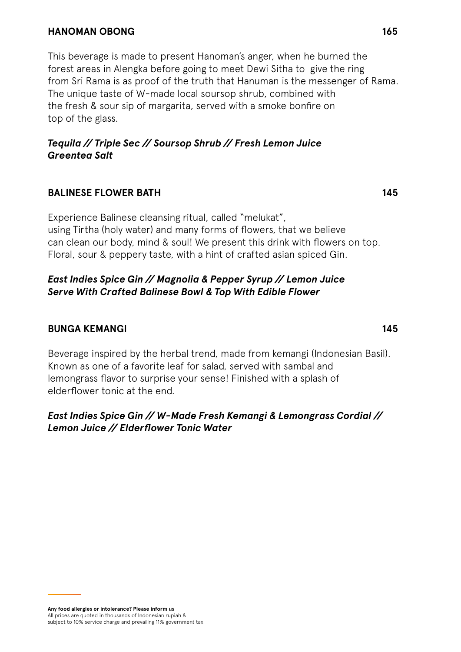#### **HANOMAN OBONG 165**

This beverage is made to present Hanoman's anger, when he burned the forest areas in Alengka before going to meet Dewi Sitha to give the ring from Sri Rama is as proof of the truth that Hanuman is the messenger of Rama. The unique taste of W-made local soursop shrub, combined with the fresh & sour sip of margarita, served with a smoke bonfire on top of the glass.

#### *Tequila // Triple Sec // Soursop Shrub // Fresh Lemon Juice Greentea Salt*

#### **BALINESE FLOWER BATH 145**

Experience Balinese cleansing ritual, called "melukat", using Tirtha (holy water) and many forms of flowers, that we believe can clean our body, mind & soul! We present this drink with flowers on top. Floral, sour & peppery taste, with a hint of crafted asian spiced Gin.

#### *East Indies Spice Gin // Magnolia & Pepper Syrup // Lemon Juice Serve With Crafted Balinese Bowl & Top With Edible Flower*

#### **BUNGA KEMANGI 145**

Beverage inspired by the herbal trend, made from kemangi (Indonesian Basil). Known as one of a favorite leaf for salad, served with sambal and lemongrass flavor to surprise your sense! Finished with a splash of elderflower tonic at the end.

#### *East Indies Spice Gin // W-Made Fresh Kemangi & Lemongrass Cordial // Lemon Juice // Elderflower Tonic Water*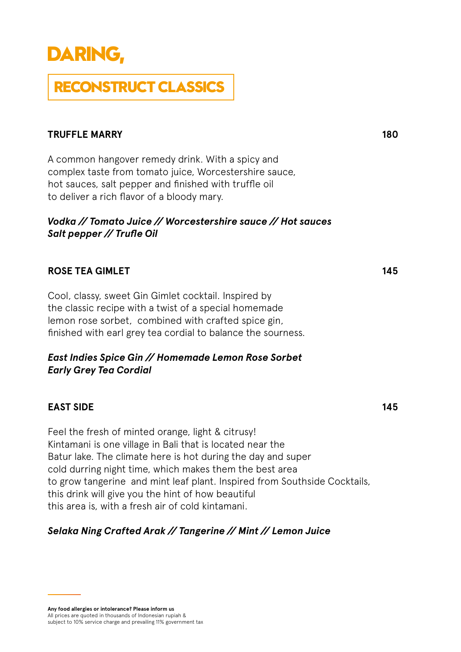## **DARING,**

## **RECONSTRUCT CLASSICS**

#### **TRUFFLE MARRY** 180

A common hangover remedy drink. With a spicy and complex taste from tomato juice, Worcestershire sauce, hot sauces, salt pepper and finished with truffle oil to deliver a rich flavor of a bloody mary.

#### *Vodka // Tomato Juice // Worcestershire sauce // Hot sauces Salt pepper // Trufle Oil*

#### **ROSE TEA GIMLET** 145

Cool, classy, sweet Gin Gimlet cocktail. Inspired by the classic recipe with a twist of a special homemade lemon rose sorbet, combined with crafted spice gin, finished with earl grey tea cordial to balance the sourness.

#### *East Indies Spice Gin // Homemade Lemon Rose Sorbet Early Grey Tea Cordial*

#### **EAST SIDE** 145

Feel the fresh of minted orange, light & citrusy! Kintamani is one village in Bali that is located near the Batur lake. The climate here is hot during the day and super cold durring night time, which makes them the best area to grow tangerine and mint leaf plant. Inspired from Southside Cocktails, this drink will give you the hint of how beautiful this area is, with a fresh air of cold kintamani.

#### *Selaka Ning Crafted Arak // Tangerine // Mint // Lemon Juice*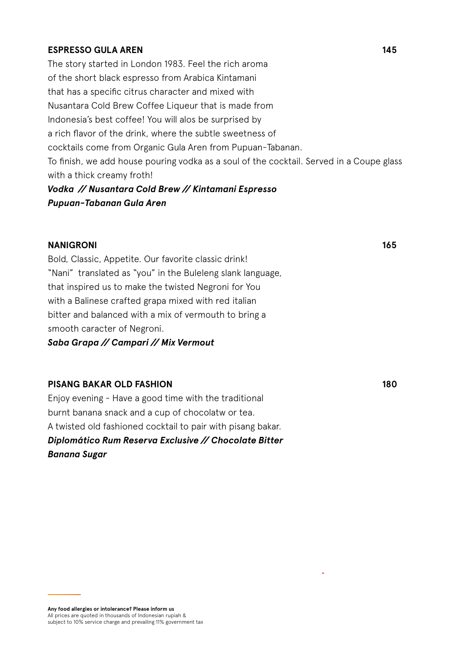#### **ESPRESSO GULA AREN 145**

The story started in London 1983. Feel the rich aroma of the short black espresso from Arabica Kintamani that has a specific citrus character and mixed with Nusantara Cold Brew Coffee Liqueur that is made from Indonesia's best coffee! You will alos be surprised by a rich flavor of the drink, where the subtle sweetness of cocktails come from Organic Gula Aren from Pupuan-Tabanan. To finish, we add house pouring vodka as a soul of the cocktail. Served in a Coupe glass with a thick creamy froth!

#### *Vodka // Nusantara Cold Brew // Kintamani Espresso Pupuan-Tabanan Gula Aren*

#### **NANIGRONI** 165

Bold, Classic, Appetite. Our favorite classic drink! "Nani" translated as "you" in the Buleleng slank language, that inspired us to make the twisted Negroni for You with a Balinese crafted grapa mixed with red italian bitter and balanced with a mix of vermouth to bring a smooth caracter of Negroni.

*Saba Grapa // Campari // Mix Vermout*

#### **PISANG BAKAR OLD FASHION** 180

Enjoy evening - Have a good time with the traditional burnt banana snack and a cup of chocolatw or tea. A twisted old fashioned cocktail to pair with pisang bakar. *Diplomático Rum Reserva Exclusive // Chocolate Bitter Banana Sugar*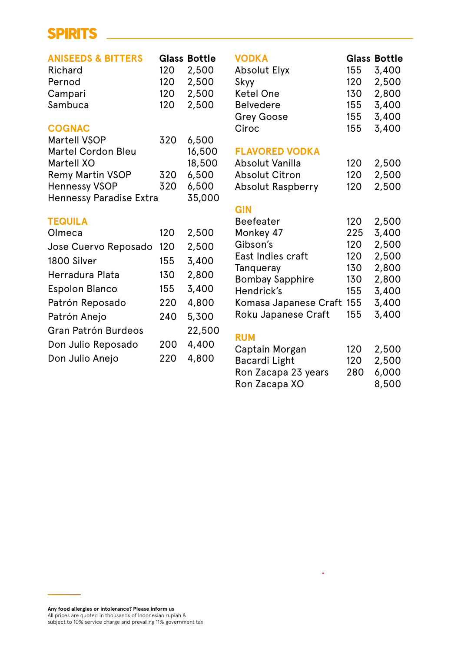### **SPIRITS**

| <b>ANISEEDS &amp; BITTERS</b><br>Richard<br>Pernod<br>Campari<br>Sambuca | 120<br>120<br>120<br>120 | <b>Glass Bottle</b><br>2,500<br>2,500<br>2,500<br>2,500 | <b>VODKA</b><br><b>Absolut Elyx</b><br>Skyy<br><b>Ketel One</b><br><b>Belvedere</b><br><b>Grey Goose</b> | 155<br>120<br>130<br>155<br>155 | <b>Glass Bottle</b><br>3,400<br>2,500<br>2,800<br>3,400<br>3,400 |
|--------------------------------------------------------------------------|--------------------------|---------------------------------------------------------|----------------------------------------------------------------------------------------------------------|---------------------------------|------------------------------------------------------------------|
| <b>COGNAC</b>                                                            |                          |                                                         | Ciroc                                                                                                    | 155                             | 3,400                                                            |
| <b>Martell VSOP</b>                                                      | 320                      | 6,500                                                   |                                                                                                          |                                 |                                                                  |
| <b>Martel Cordon Bleu</b>                                                |                          | 16,500                                                  | <b>FLAVORED VODKA</b>                                                                                    |                                 |                                                                  |
| Martell XO                                                               |                          | 18,500                                                  | Absolut Vanilla                                                                                          | 120                             | 2,500                                                            |
| <b>Remy Martin VSOP</b>                                                  | 320                      | 6,500                                                   | <b>Absolut Citron</b>                                                                                    | 120                             | 2,500                                                            |
| <b>Hennessy VSOP</b>                                                     | 320                      | 6,500                                                   | <b>Absolut Raspberry</b>                                                                                 | 120                             | 2,500                                                            |
| <b>Hennessy Paradise Extra</b>                                           |                          | 35,000                                                  |                                                                                                          |                                 |                                                                  |
|                                                                          |                          |                                                         | <b>GIN</b>                                                                                               |                                 |                                                                  |
| <b>TEQUILA</b>                                                           |                          |                                                         | <b>Beefeater</b>                                                                                         | 120                             | 2,500                                                            |
| Olmeca                                                                   | 120                      | 2,500                                                   | Monkey 47                                                                                                | 225                             | 3,400                                                            |
| Jose Cuervo Reposado                                                     | 120                      | 2,500                                                   | Gibson's                                                                                                 | 120                             | 2,500                                                            |
| 1800 Silver                                                              | 155                      | 3,400                                                   | East Indies craft                                                                                        | 120                             | 2,500                                                            |
| Herradura Plata                                                          | 130                      | 2,800                                                   | Tanqueray<br><b>Bombay Sapphire</b>                                                                      | 130<br>130                      | 2,800<br>2,800                                                   |
| <b>Espolon Blanco</b>                                                    | 155                      | 3,400                                                   | Hendrick's                                                                                               | 155                             | 3,400                                                            |
| Patrón Reposado                                                          | 220                      | 4,800                                                   | Komasa Japanese Craft                                                                                    | 155                             | 3,400                                                            |
| Patrón Anejo                                                             | 240                      | 5,300                                                   | Roku Japanese Craft                                                                                      | 155                             | 3,400                                                            |
| Gran Patrón Burdeos                                                      |                          | 22,500                                                  | <b>RUM</b>                                                                                               |                                 |                                                                  |
| Don Julio Reposado                                                       | 200                      | 4,400                                                   | Captain Morgan                                                                                           | 120                             | 2,500                                                            |
| Don Julio Anejo                                                          | 220                      | 4,800                                                   | Bacardi Light                                                                                            | 120                             | 2,500                                                            |
|                                                                          |                          |                                                         | Ron Zacapa 23 years                                                                                      | 280                             | 6,000                                                            |

Ron Zacapa XO 8,500

l,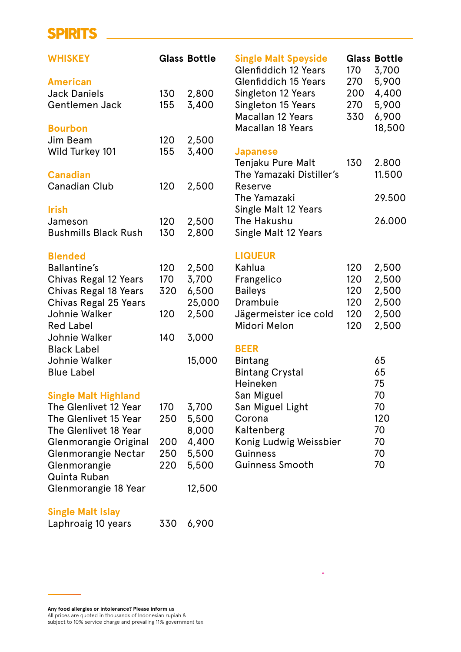#### **SPIRITS**

| <b>WHISKEY</b>              |     | <b>Glass Bottle</b> | <b>Single Malt Speyside</b><br><b>Glenfiddich 12 Years</b> | 170 | <b>Glass Bottle</b><br>3,700 |
|-----------------------------|-----|---------------------|------------------------------------------------------------|-----|------------------------------|
| <b>American</b>             |     |                     | <b>Glenfiddich 15 Years</b>                                | 270 | 5,900                        |
| <b>Jack Daniels</b>         | 130 | 2,800               | Singleton 12 Years                                         | 200 | 4,400                        |
| Gentlemen Jack              | 155 | 3,400               | Singleton 15 Years                                         | 270 | 5,900                        |
|                             |     |                     | <b>Macallan 12 Years</b>                                   | 330 | 6,900                        |
| <b>Bourbon</b>              |     |                     | <b>Macallan 18 Years</b>                                   |     | 18,500                       |
| Jim Beam                    | 120 | 2,500               |                                                            |     |                              |
| Wild Turkey 101             | 155 | 3,400               | <b>Japanese</b>                                            |     |                              |
|                             |     |                     | Tenjaku Pure Malt                                          | 130 | 2.800                        |
| <b>Canadian</b>             |     |                     | The Yamazaki Distiller's                                   |     | 11.500                       |
| <b>Canadian Club</b>        | 120 | 2,500               | Reserve                                                    |     |                              |
|                             |     |                     | The Yamazaki                                               |     | 29.500                       |
| <b>Irish</b>                |     |                     | Single Malt 12 Years                                       |     |                              |
| Jameson                     | 120 | 2,500               | The Hakushu                                                |     | 26.000                       |
| <b>Bushmills Black Rush</b> | 130 | 2,800               | Single Malt 12 Years                                       |     |                              |
|                             |     |                     |                                                            |     |                              |
| <b>Blended</b>              |     |                     | <b>LIQUEUR</b>                                             |     |                              |
| <b>Ballantine's</b>         | 120 | 2,500               | Kahlua                                                     | 120 | 2,500                        |
| Chivas Regal 12 Years       | 170 | 3,700               | Frangelico                                                 | 120 | 2,500                        |
| Chivas Regal 18 Years       | 320 | 6,500               | <b>Baileys</b>                                             | 120 | 2,500                        |
| Chivas Regal 25 Years       |     | 25,000              | Drambuie                                                   | 120 | 2,500                        |
| Johnie Walker               | 120 | 2,500               | Jägermeister ice cold                                      | 120 | 2,500                        |
| <b>Red Label</b>            |     |                     | Midori Melon                                               | 120 | 2,500                        |
| Johnie Walker               | 140 | 3,000               |                                                            |     |                              |
| <b>Black Label</b>          |     |                     | <b>BEER</b>                                                |     |                              |
| Johnie Walker               |     | 15,000              | <b>Bintang</b>                                             |     | 65                           |
| <b>Blue Label</b>           |     |                     | <b>Bintang Crystal</b>                                     |     | 65                           |
|                             |     |                     | Heineken                                                   |     | 75                           |
| <b>Single Malt Highland</b> |     |                     | San Miguel                                                 |     | 70                           |
| The Glenlivet 12 Year       | 170 | 3,700               | San Miguel Light                                           |     | 70                           |
| The Glenlivet 15 Year       | 250 | 5,500               | Corona                                                     |     | 120                          |
| The Glenlivet 18 Year       |     | 8,000               | Kaltenberg                                                 |     | 70                           |
| Glenmorangie Original       | 200 | 4,400               | Konig Ludwig Weissbier                                     |     | 70                           |
| Glenmorangie Nectar         | 250 | 5,500               | Guinness                                                   |     | 70                           |
| Glenmorangie                | 220 | 5,500               | <b>Guinness Smooth</b>                                     |     | 70                           |
| <b>Quinta Ruban</b>         |     |                     |                                                            |     |                              |
| Glenmorangie 18 Year        |     | 12,500              |                                                            |     |                              |
|                             |     |                     |                                                            |     |                              |
| <b>Single Malt Islay</b>    |     |                     |                                                            |     |                              |

 $\lambda$ 

| Laphroaig 10 years | 330 6,900 |
|--------------------|-----------|
|--------------------|-----------|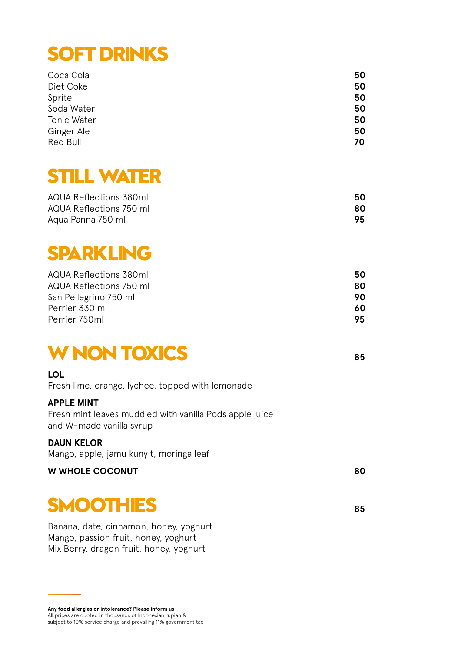## **SOFT DRINKS**

| 50 |
|----|
| 50 |
| 50 |
| 50 |
| 50 |
| 50 |
| 70 |
|    |

## **STILL WATER**

| AQUA Reflections 380ml  | 50 |
|-------------------------|----|
| AQUA Reflections 750 ml | 80 |
| Agua Panna 750 ml       | 95 |

## **SPARKLING**

| AQUA Reflections 380ml  | 50  |
|-------------------------|-----|
| AQUA Reflections 750 ml | 80  |
| San Pellegrino 750 ml   | 90. |
| Perrier 330 ml          | 60  |
| Perrier 750ml           | 95  |

## **W NON TOXICS <sup>85</sup>**

#### **LOL**

Fresh lime, orange, lychee, topped with lemonade

#### **APPLE MINT**

Fresh mint leaves muddled with vanilla Pods apple juice and W-made vanilla syrup

#### **DAUN KELOR**

Mango, apple, jamu kunyit, moringa leaf

#### **W** WHOLE COCONUT 80

## **SMOOTHIES <sup>85</sup>**

Banana, date, cinnamon, honey, yoghurt Mango, passion fruit, honey, yoghurt Mix Berry, dragon fruit, honey, yoghurt

**Any food allergies or intolerance? Please inform us** All prices are quoted in thousands of Indonesian rupiah & subject to 10% service charge and prevailing 11% government tax